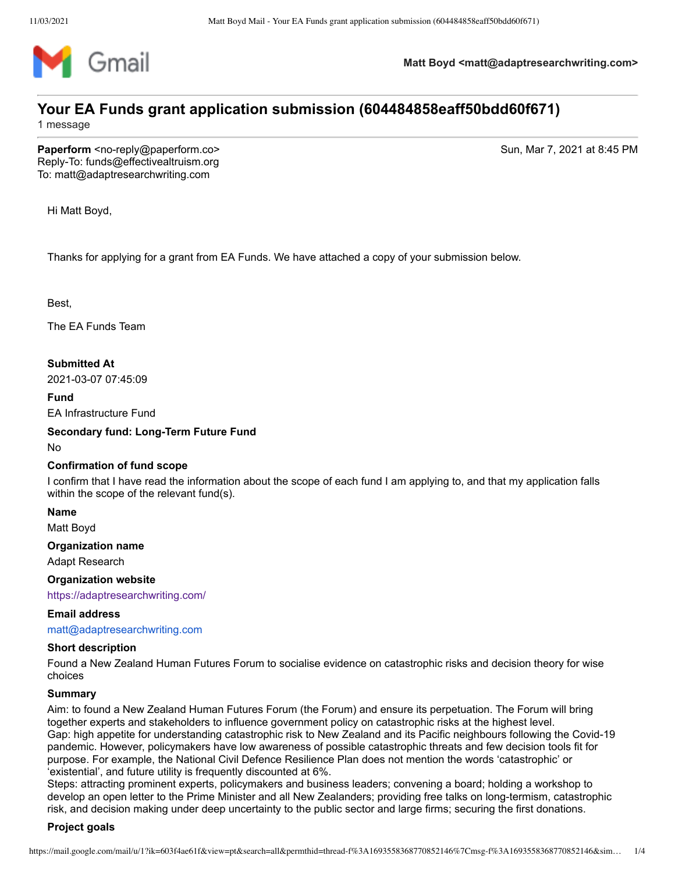

**Matt Boyd <matt@adaptresearchwriting.com>**

# **Your EA Funds grant application submission (604484858eaff50bdd60f671)**

1 message

**Paperform** <no-reply@paperform.co> Sun, Mar 7, 2021 at 8:45 PM Reply-To: funds@effectivealtruism.org To: matt@adaptresearchwriting.com

Hi Matt Boyd,

Thanks for applying for a grant from EA Funds. We have attached a copy of your submission below.

Best,

The EA Funds Team

**Submitted At**

2021-03-07 07:45:09

**Fund**

EA Infrastructure Fund

**Secondary fund: Long-Term Future Fund**

No

# **Confirmation of fund scope**

I confirm that I have read the information about the scope of each fund I am applying to, and that my application falls within the scope of the relevant fund(s).

**Name**

Matt Boyd

**Organization name**

Adapt Research

**Organization website**

<https://adaptresearchwriting.com/>

#### **Email address**

[matt@adaptresearchwriting.com](mailto:matt@adaptresearchwriting.com)

#### **Short description**

Found a New Zealand Human Futures Forum to socialise evidence on catastrophic risks and decision theory for wise choices

#### **Summary**

Aim: to found a New Zealand Human Futures Forum (the Forum) and ensure its perpetuation. The Forum will bring together experts and stakeholders to influence government policy on catastrophic risks at the highest level. Gap: high appetite for understanding catastrophic risk to New Zealand and its Pacific neighbours following the Covid-19 pandemic. However, policymakers have low awareness of possible catastrophic threats and few decision tools fit for purpose. For example, the National Civil Defence Resilience Plan does not mention the words 'catastrophic' or 'existential', and future utility is frequently discounted at 6%.

Steps: attracting prominent experts, policymakers and business leaders; convening a board; holding a workshop to develop an open letter to the Prime Minister and all New Zealanders; providing free talks on long-termism, catastrophic risk, and decision making under deep uncertainty to the public sector and large firms; securing the first donations.

#### **Project goals**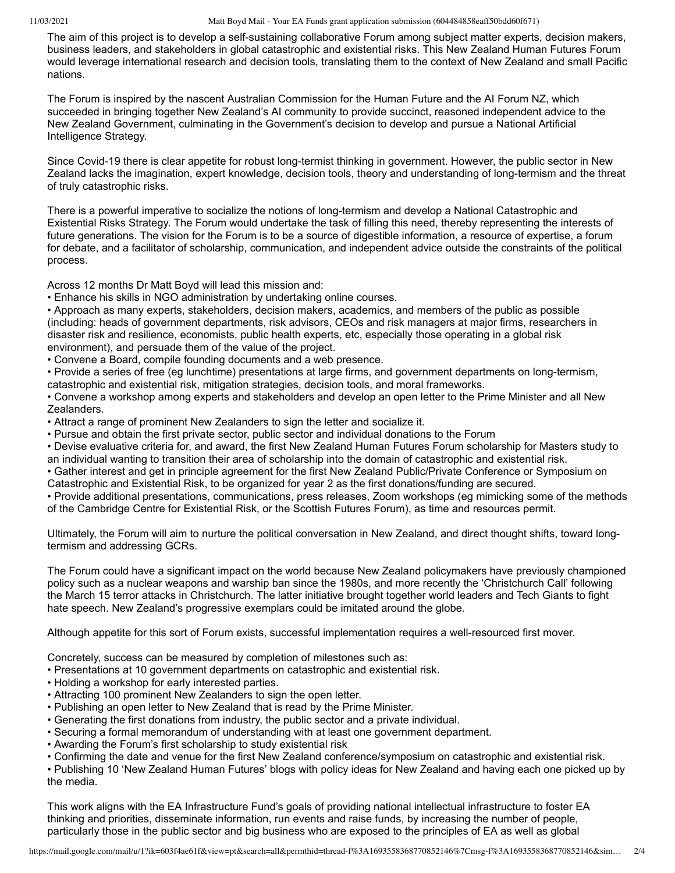The aim of this project is to develop a self-sustaining collaborative Forum among subject matter experts, decision makers, business leaders, and stakeholders in global catastrophic and existential risks. This New Zealand Human Futures Forum would leverage international research and decision tools, translating them to the context of New Zealand and small Pacific nations.

The Forum is inspired by the nascent Australian Commission for the Human Future and the AI Forum NZ, which succeeded in bringing together New Zealand's AI community to provide succinct, reasoned independent advice to the New Zealand Government, culminating in the Government's decision to develop and pursue a National Artificial Intelligence Strategy.

Since Covid-19 there is clear appetite for robust long-termist thinking in government. However, the public sector in New Zealand lacks the imagination, expert knowledge, decision tools, theory and understanding of long-termism and the threat of truly catastrophic risks.

There is a powerful imperative to socialize the notions of long-termism and develop a National Catastrophic and Existential Risks Strategy. The Forum would undertake the task of filling this need, thereby representing the interests of future generations. The vision for the Forum is to be a source of digestible information, a resource of expertise, a forum for debate, and a facilitator of scholarship, communication, and independent advice outside the constraints of the political process.

Across 12 months Dr Matt Boyd will lead this mission and:

• Enhance his skills in NGO administration by undertaking online courses.

• Approach as many experts, stakeholders, decision makers, academics, and members of the public as possible (including: heads of government departments, risk advisors, CEOs and risk managers at major firms, researchers in disaster risk and resilience, economists, public health experts, etc, especially those operating in a global risk environment), and persuade them of the value of the project.

- Convene a Board, compile founding documents and a web presence.
- Provide a series of free (eg lunchtime) presentations at large firms, and government departments on long-termism, catastrophic and existential risk, mitigation strategies, decision tools, and moral frameworks.

• Convene a workshop among experts and stakeholders and develop an open letter to the Prime Minister and all New Zealanders.

- Attract a range of prominent New Zealanders to sign the letter and socialize it.
- Pursue and obtain the first private sector, public sector and individual donations to the Forum
- Devise evaluative criteria for, and award, the first New Zealand Human Futures Forum scholarship for Masters study to an individual wanting to transition their area of scholarship into the domain of catastrophic and existential risk.

• Gather interest and get in principle agreement for the first New Zealand Public/Private Conference or Symposium on Catastrophic and Existential Risk, to be organized for year 2 as the first donations/funding are secured.

• Provide additional presentations, communications, press releases, Zoom workshops (eg mimicking some of the methods of the Cambridge Centre for Existential Risk, or the Scottish Futures Forum), as time and resources permit.

Ultimately, the Forum will aim to nurture the political conversation in New Zealand, and direct thought shifts, toward longtermism and addressing GCRs.

The Forum could have a significant impact on the world because New Zealand policymakers have previously championed policy such as a nuclear weapons and warship ban since the 1980s, and more recently the 'Christchurch Call' following the March 15 terror attacks in Christchurch. The latter initiative brought together world leaders and Tech Giants to fight hate speech. New Zealand's progressive exemplars could be imitated around the globe.

Although appetite for this sort of Forum exists, successful implementation requires a well-resourced first mover.

Concretely, success can be measured by completion of milestones such as:

- Presentations at 10 government departments on catastrophic and existential risk.
- Holding a workshop for early interested parties.
- Attracting 100 prominent New Zealanders to sign the open letter.
- Publishing an open letter to New Zealand that is read by the Prime Minister.
- Generating the first donations from industry, the public sector and a private individual.
- Securing a formal memorandum of understanding with at least one government department.
- Awarding the Forum's first scholarship to study existential risk
- Confirming the date and venue for the first New Zealand conference/symposium on catastrophic and existential risk.

• Publishing 10 'New Zealand Human Futures' blogs with policy ideas for New Zealand and having each one picked up by the media.

This work aligns with the EA Infrastructure Fund's goals of providing national intellectual infrastructure to foster EA thinking and priorities, disseminate information, run events and raise funds, by increasing the number of people, particularly those in the public sector and big business who are exposed to the principles of EA as well as global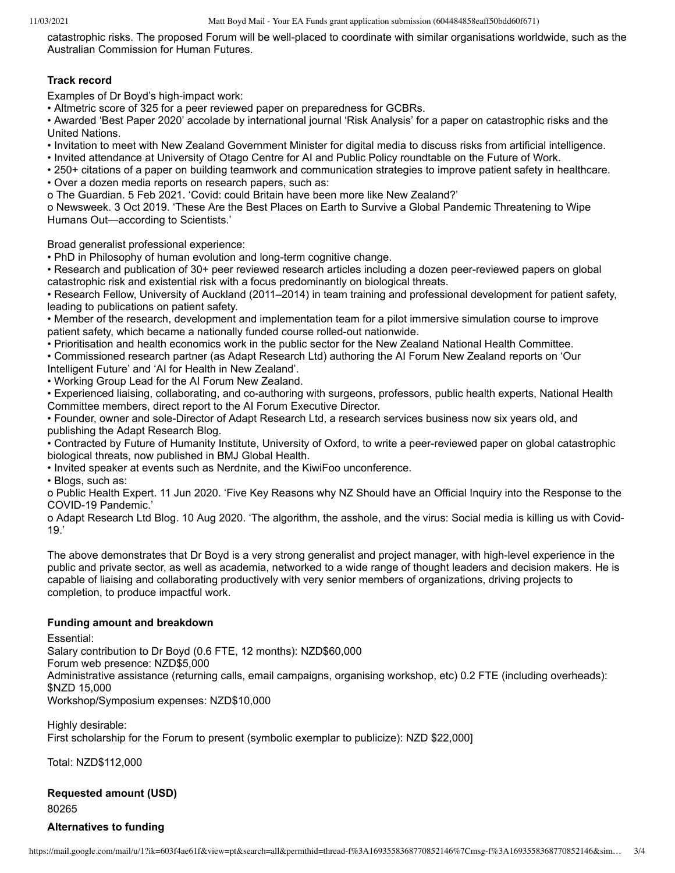catastrophic risks. The proposed Forum will be well-placed to coordinate with similar organisations worldwide, such as the Australian Commission for Human Futures.

# **Track record**

Examples of Dr Boyd's high-impact work:

• Altmetric score of 325 for a peer reviewed paper on preparedness for GCBRs.

• Awarded 'Best Paper 2020' accolade by international journal 'Risk Analysis' for a paper on catastrophic risks and the United Nations.

• Invitation to meet with New Zealand Government Minister for digital media to discuss risks from artificial intelligence.

• Invited attendance at University of Otago Centre for AI and Public Policy roundtable on the Future of Work.

• 250+ citations of a paper on building teamwork and communication strategies to improve patient safety in healthcare. • Over a dozen media reports on research papers, such as:

o The Guardian. 5 Feb 2021. 'Covid: could Britain have been more like New Zealand?'

o Newsweek. 3 Oct 2019. 'These Are the Best Places on Earth to Survive a Global Pandemic Threatening to Wipe Humans Out—according to Scientists.'

Broad generalist professional experience:

• PhD in Philosophy of human evolution and long-term cognitive change.

• Research and publication of 30+ peer reviewed research articles including a dozen peer-reviewed papers on global catastrophic risk and existential risk with a focus predominantly on biological threats.

• Research Fellow, University of Auckland (2011–2014) in team training and professional development for patient safety, leading to publications on patient safety.

• Member of the research, development and implementation team for a pilot immersive simulation course to improve patient safety, which became a nationally funded course rolled-out nationwide.

• Prioritisation and health economics work in the public sector for the New Zealand National Health Committee.

• Commissioned research partner (as Adapt Research Ltd) authoring the AI Forum New Zealand reports on 'Our Intelligent Future' and 'AI for Health in New Zealand'.

• Working Group Lead for the AI Forum New Zealand.

• Experienced liaising, collaborating, and co-authoring with surgeons, professors, public health experts, National Health Committee members, direct report to the AI Forum Executive Director.

• Founder, owner and sole-Director of Adapt Research Ltd, a research services business now six years old, and publishing the Adapt Research Blog.

• Contracted by Future of Humanity Institute, University of Oxford, to write a peer-reviewed paper on global catastrophic biological threats, now published in BMJ Global Health.

• Invited speaker at events such as Nerdnite, and the KiwiFoo unconference.

• Blogs, such as:

o Public Health Expert. 11 Jun 2020. 'Five Key Reasons why NZ Should have an Official Inquiry into the Response to the COVID-19 Pandemic.'

o Adapt Research Ltd Blog. 10 Aug 2020. 'The algorithm, the asshole, and the virus: Social media is killing us with Covid-19.'

The above demonstrates that Dr Boyd is a very strong generalist and project manager, with high-level experience in the public and private sector, as well as academia, networked to a wide range of thought leaders and decision makers. He is capable of liaising and collaborating productively with very senior members of organizations, driving projects to completion, to produce impactful work.

# **Funding amount and breakdown**

Essential:

Salary contribution to Dr Boyd (0.6 FTE, 12 months): NZD\$60,000 Forum web presence: NZD\$5,000 Administrative assistance (returning calls, email campaigns, organising workshop, etc) 0.2 FTE (including overheads): \$NZD 15,000 Workshop/Symposium expenses: NZD\$10,000

Highly desirable: First scholarship for the Forum to present (symbolic exemplar to publicize): NZD \$22,000]

Total: NZD\$112,000

# **Requested amount (USD)**

80265

# **Alternatives to funding**